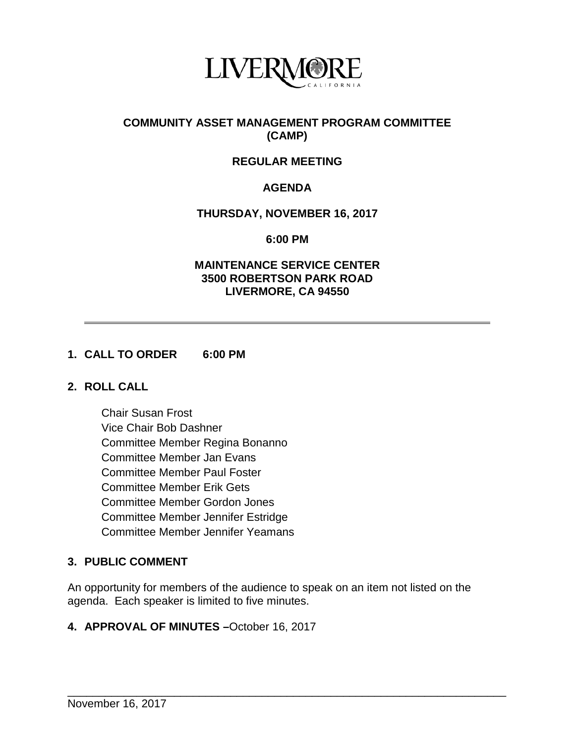

# **COMMUNITY ASSET MANAGEMENT PROGRAM COMMITTEE (CAMP)**

# **REGULAR MEETING**

# **AGENDA**

### **THURSDAY, NOVEMBER 16, 2017**

**6:00 PM**

#### **MAINTENANCE SERVICE CENTER 3500 ROBERTSON PARK ROAD LIVERMORE, CA 94550**

### **1. CALL TO ORDER 6:00 PM**

#### **2. ROLL CALL**

Chair Susan Frost Vice Chair Bob Dashner Committee Member Regina Bonanno Committee Member Jan Evans Committee Member Paul Foster Committee Member Erik Gets Committee Member Gordon Jones Committee Member Jennifer Estridge Committee Member Jennifer Yeamans

# **3. PUBLIC COMMENT**

An opportunity for members of the audience to speak on an item not listed on the agenda. Each speaker is limited to five minutes.

\_\_\_\_\_\_\_\_\_\_\_\_\_\_\_\_\_\_\_\_\_\_\_\_\_\_\_\_\_\_\_\_\_\_\_\_\_\_\_\_\_\_\_\_\_\_\_\_\_\_\_\_\_\_\_\_\_\_\_\_\_\_\_\_\_\_\_\_\_\_

#### **4. APPROVAL OF MINUTES –**October 16, 2017